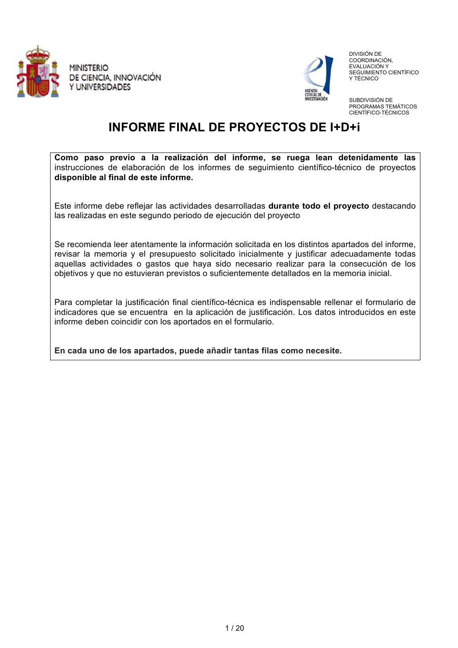



 DIVISIÓN DE COORDINACIÓN, EVALUACIÓN Y SEGUIMIENTO CIENTÍFICO Y TÉCNICO

SUBDIVISIÓN DE PROGRAMAS TEMÁTICOS CIENTÍFICO-TÉCNICOS

# **INFORME FINAL DE PROYECTOS DE I+D+i**

**Como paso previo a la realización del informe, se ruega lean detenidamente las** instrucciones de elaboración de los informes de seguimiento científico-técnico de proyectos **disponible al final de este informe.** 

Este informe debe reflejar las actividades desarrolladas **durante todo el proyecto** destacando las realizadas en este segundo periodo de ejecución del proyecto

Se recomienda leer atentamente la información solicitada en los distintos apartados del informe, revisar la memoria y el presupuesto solicitado inicialmente y justificar adecuadamente todas aquellas actividades o gastos que haya sido necesario realizar para la consecución de los objetivos y que no estuvieran previstos o suficientemente detallados en la memoria inicial.

Para completar la justificación final científico-técnica es indispensable rellenar el formulario de indicadores que se encuentra en la aplicación de justificación. Los datos introducidos en este informe deben coincidir con los aportados en el formulario.

**En cada uno de los apartados, puede añadir tantas filas como necesite.**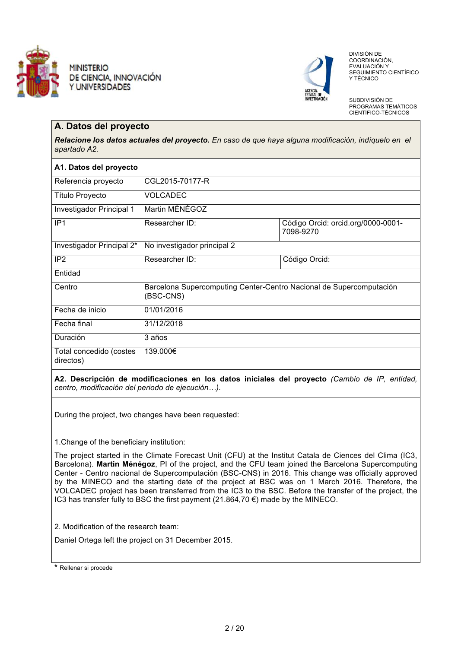



 DIVISIÓN DE COORDINACIÓN, EVALUACIÓN Y SEGUIMIENTO CIENTÍFICO Y TÉCNICO

SUBDIVISIÓN DE PROGRAMAS TEMÁTICOS CIENTÍFICO-TÉCNICOS

### **A. Datos del proyecto**

*Relacione los datos actuales del proyecto. En caso de que haya alguna modificación, indíquelo en el apartado A2.* 

| A1. Datos del proyecto               |                                                                                  |                                                 |  |  |  |
|--------------------------------------|----------------------------------------------------------------------------------|-------------------------------------------------|--|--|--|
| Referencia proyecto                  | CGL2015-70177-R                                                                  |                                                 |  |  |  |
| <b>Título Proyecto</b>               | <b>VOLCADEC</b>                                                                  |                                                 |  |  |  |
| Investigador Principal 1             | Martin MÉNÉGOZ                                                                   |                                                 |  |  |  |
| IP <sub>1</sub>                      | Researcher ID:                                                                   | Código Orcid: orcid.org/0000-0001-<br>7098-9270 |  |  |  |
| Investigador Principal 2*            | No investigador principal 2                                                      |                                                 |  |  |  |
| IP <sub>2</sub>                      | Researcher ID:                                                                   | Código Orcid:                                   |  |  |  |
| Entidad                              |                                                                                  |                                                 |  |  |  |
| Centro                               | Barcelona Supercomputing Center-Centro Nacional de Supercomputación<br>(BSC-CNS) |                                                 |  |  |  |
| Fecha de inicio                      | 01/01/2016                                                                       |                                                 |  |  |  |
| Fecha final                          | 31/12/2018                                                                       |                                                 |  |  |  |
| Duración                             | 3 años                                                                           |                                                 |  |  |  |
| Total concedido (costes<br>directos) | 139.000€                                                                         |                                                 |  |  |  |

**A2. Descripción de modificaciones en los datos iniciales del proyecto** *(Cambio de IP, entidad, centro, modificación del periodo de ejecución).*

During the project, two changes have been requested:

1.Change of the beneficiary institution:

The project started in the Climate Forecast Unit (CFU) at the Institut Catala de Ciences del Clima (IC3, Barcelona). **Martin Ménégoz**, PI of the project, and the CFU team joined the Barcelona Supercomputing Center - Centro nacional de Supercomputación (BSC-CNS) in 2016. This change was officially approved by the MINECO and the starting date of the project at BSC was on 1 March 2016. Therefore, the VOLCADEC project has been transferred from the IC3 to the BSC. Before the transfer of the project, the IC3 has transfer fully to BSC the first payment  $(21.864, 70 \in )$  made by the MINECO.

2. Modification of the research team:

Daniel Ortega left the project on 31 December 2015.

**<sup>\*</sup>** Rellenar si procede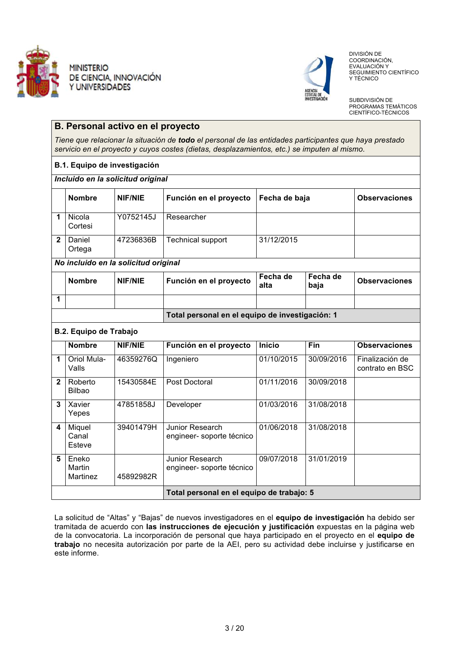



 DIVISIÓN DE COORDINACIÓN, EVALUACIÓN Y SEGUIMIENTO CIENTÍFICO Y TÉCNICO

SUBDIVISIÓN DE PROGRAMAS TEMÁTICOS CIENTÍFICO-TÉCNICOS

# **B. Personal activo en el proyecto**

*Tiene que relacionar la situación de todo el personal de las entidades participantes que haya prestado servicio en el proyecto y cuyos costes (dietas, desplazamientos, etc.) se imputen al mismo.*

#### **B.1. Equipo de investigación**

#### *Incluido en la solicitud original*

|              | <b>Nombre</b>                        | <b>NIF/NIE</b> | Función en el proyecto                          | Fecha de baja    |                  | <b>Observaciones</b>               |  |
|--------------|--------------------------------------|----------------|-------------------------------------------------|------------------|------------------|------------------------------------|--|
| 1            | Nicola<br>Cortesi                    | Y0752145J      | Researcher                                      |                  |                  |                                    |  |
| $\mathbf{2}$ | Daniel<br>Ortega                     | 47236836B      | <b>Technical support</b>                        | 31/12/2015       |                  |                                    |  |
|              | No incluido en la solicitud original |                |                                                 |                  |                  |                                    |  |
|              | <b>Nombre</b>                        | <b>NIF/NIE</b> | Función en el proyecto                          | Fecha de<br>alta | Fecha de<br>baja | <b>Observaciones</b>               |  |
| 1            |                                      |                |                                                 |                  |                  |                                    |  |
|              |                                      |                | Total personal en el equipo de investigación: 1 |                  |                  |                                    |  |
|              | <b>B.2. Equipo de Trabajo</b>        |                |                                                 |                  |                  |                                    |  |
|              | <b>Nombre</b>                        | <b>NIF/NIE</b> | Función en el proyecto                          | <b>Inicio</b>    | Fin              | <b>Observaciones</b>               |  |
| 1            | Oriol Mula-<br>Valls                 | 46359276Q      | Ingeniero                                       | 01/10/2015       | 30/09/2016       | Finalización de<br>contrato en BSC |  |
| $\mathbf{2}$ | Roberto<br><b>Bilbao</b>             | 15430584E      | Post Doctoral                                   | 01/11/2016       | 30/09/2018       |                                    |  |
| 3            | Xavier<br>Yepes                      | 47851858J      | Developer                                       | 01/03/2016       | 31/08/2018       |                                    |  |
| 4            | Miquel<br>Canal<br>Esteve            | 39401479H      | Junior Research<br>engineer- soporte técnico    | 01/06/2018       | 31/08/2018       |                                    |  |
| 5            | Eneko<br>Martin<br>Martinez          | 45892982R      | Junior Research<br>engineer- soporte técnico    | 09/07/2018       | 31/01/2019       |                                    |  |
|              |                                      |                | Total personal en el equipo de trabajo: 5       |                  |                  |                                    |  |

La solicitud de "Altas" y "Bajas" de nuevos investigadores en el **equipo de investigación** ha debido ser tramitada de acuerdo con **las instrucciones de ejecución y justificación** expuestas en la página web de la convocatoria. La incorporación de personal que haya participado en el proyecto en el **equipo de trabajo** no necesita autorización por parte de la AEI, pero su actividad debe incluirse y justificarse en este informe.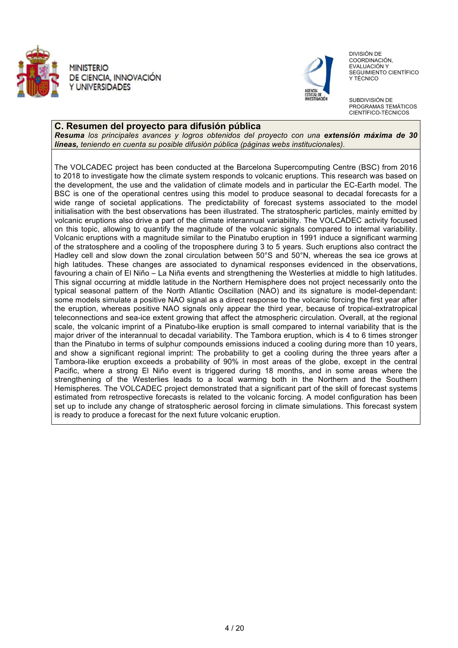



 DIVISIÓN DE COORDINACIÓN, EVALUACIÓN Y SEGUIMIENTO CIENTÍFICO Y TÉCNICO

SUBDIVISIÓN DE PROGRAMAS TEMÁTICOS CIENTÍFICO-TÉCNICOS

#### **C. Resumen del proyecto para difusión pública**

*Resuma los principales avances y logros obtenidos del proyecto con una extensión máxima de 30 líneas, teniendo en cuenta su posible difusión pública (páginas webs institucionales).*

The VOLCADEC project has been conducted at the Barcelona Supercomputing Centre (BSC) from 2016 to 2018 to investigate how the climate system responds to volcanic eruptions. This research was based on the development, the use and the validation of climate models and in particular the EC-Earth model. The BSC is one of the operational centres using this model to produce seasonal to decadal forecasts for a wide range of societal applications. The predictability of forecast systems associated to the model initialisation with the best observations has been illustrated. The stratospheric particles, mainly emitted by volcanic eruptions also drive a part of the climate interannual variability. The VOLCADEC activity focused on this topic, allowing to quantify the magnitude of the volcanic signals compared to internal variability. Volcanic eruptions with a magnitude similar to the Pinatubo eruption in 1991 induce a significant warming of the stratosphere and a cooling of the troposphere during 3 to 5 years. Such eruptions also contract the Hadley cell and slow down the zonal circulation between 50°S and 50°N, whereas the sea ice grows at high latitudes. These changes are associated to dynamical responses evidenced in the observations, favouring a chain of El Niño – La Niña events and strengthening the Westerlies at middle to high latitudes. This signal occurring at middle latitude in the Northern Hemisphere does not project necessarily onto the typical seasonal pattern of the North Atlantic Oscillation (NAO) and its signature is model-dependant: some models simulate a positive NAO signal as a direct response to the volcanic forcing the first year after the eruption, whereas positive NAO signals only appear the third year, because of tropical-extratropical teleconnections and sea-ice extent growing that affect the atmospheric circulation. Overall, at the regional scale, the volcanic imprint of a Pinatubo-like eruption is small compared to internal variability that is the major driver of the interannual to decadal variability. The Tambora eruption, which is 4 to 6 times stronger than the Pinatubo in terms of sulphur compounds emissions induced a cooling during more than 10 years, and show a significant regional imprint: The probability to get a cooling during the three years after a Tambora-like eruption exceeds a probability of 90% in most areas of the globe, except in the central Pacific, where a strong El Niño event is triggered during 18 months, and in some areas where the strengthening of the Westerlies leads to a local warming both in the Northern and the Southern Hemispheres. The VOLCADEC project demonstrated that a significant part of the skill of forecast systems estimated from retrospective forecasts is related to the volcanic forcing. A model configuration has been set up to include any change of stratospheric aerosol forcing in climate simulations. This forecast system is ready to produce a forecast for the next future volcanic eruption.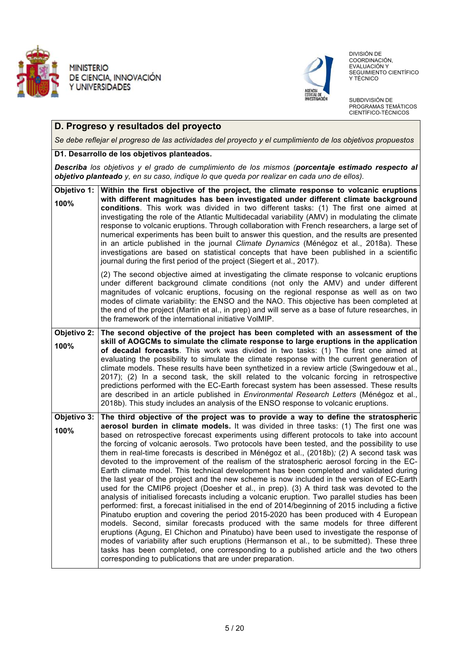



 DIVISIÓN DE COORDINACIÓN, EVALUACIÓN Y SEGUIMIENTO CIENTÍFICO Y TÉCNICO

SUBDIVISIÓN DE PROGRAMAS TEMÁTICOS CIENTÍFICO-TÉCNICOS

## **D. Progreso y resultados del proyecto**

*Se debe reflejar el progreso de las actividades del proyecto y el cumplimiento de los objetivos propuestos* 

#### **D1. Desarrollo de los objetivos planteados.**

*Describa los objetivos y el grado de cumplimiento de los mismos (porcentaje estimado respecto al objetivo planteado y, en su caso, indique lo que queda por realizar en cada uno de ellos).*

| 100%                | Objetivo 1: Within the first objective of the project, the climate response to volcanic eruptions<br>with different magnitudes has been investigated under different climate background<br>conditions. This work was divided in two different tasks: (1) The first one aimed at<br>investigating the role of the Atlantic Multidecadal variability (AMV) in modulating the climate<br>response to volcanic eruptions. Through collaboration with French researchers, a large set of<br>numerical experiments has been built to answer this question, and the results are presented<br>in an article published in the journal Climate Dynamics (Ménégoz et al., 2018a). These<br>investigations are based on statistical concepts that have been published in a scientific<br>journal during the first period of the project (Siegert et al., 2017).                                                                                                                                                                                                                                                                                                                                                                                                                                                                                                                                                                                                                                                                                                                                                 |
|---------------------|-----------------------------------------------------------------------------------------------------------------------------------------------------------------------------------------------------------------------------------------------------------------------------------------------------------------------------------------------------------------------------------------------------------------------------------------------------------------------------------------------------------------------------------------------------------------------------------------------------------------------------------------------------------------------------------------------------------------------------------------------------------------------------------------------------------------------------------------------------------------------------------------------------------------------------------------------------------------------------------------------------------------------------------------------------------------------------------------------------------------------------------------------------------------------------------------------------------------------------------------------------------------------------------------------------------------------------------------------------------------------------------------------------------------------------------------------------------------------------------------------------------------------------------------------------------------------------------------------------|
|                     | (2) The second objective aimed at investigating the climate response to volcanic eruptions<br>under different background climate conditions (not only the AMV) and under different<br>magnitudes of volcanic eruptions, focusing on the regional response as well as on two<br>modes of climate variability: the ENSO and the NAO. This objective has been completed at<br>the end of the project (Martin et al., in prep) and will serve as a base of future researches, in<br>the framework of the international initiative VolMIP.                                                                                                                                                                                                                                                                                                                                                                                                                                                                                                                                                                                                                                                                                                                                                                                                                                                                                                                                                                                                                                                               |
| Objetivo 2:<br>100% | The second objective of the project has been completed with an assessment of the<br>skill of AOGCMs to simulate the climate response to large eruptions in the application<br>of decadal forecasts. This work was divided in two tasks: (1) The first one aimed at<br>evaluating the possibility to simulate the climate response with the current generation of<br>climate models. These results have been synthetized in a review article (Swingedouw et al.,<br>2017); (2) In a second task, the skill related to the volcanic forcing in retrospective<br>predictions performed with the EC-Earth forecast system has been assessed. These results<br>are described in an article published in <i>Environmental Research Letters</i> (Ménégoz et al.,<br>2018b). This study includes an analysis of the ENSO response to volcanic eruptions.                                                                                                                                                                                                                                                                                                                                                                                                                                                                                                                                                                                                                                                                                                                                                    |
| Objetivo 3:<br>100% | The third objective of the project was to provide a way to define the stratospheric<br>aerosol burden in climate models. It was divided in three tasks: (1) The first one was<br>based on retrospective forecast experiments using different protocols to take into account<br>the forcing of volcanic aerosols. Two protocols have been tested, and the possibility to use<br>them in real-time forecasts is described in Ménégoz et al., (2018b); (2) A second task was<br>devoted to the improvement of the realism of the stratospheric aerosol forcing in the EC-<br>Earth climate model. This technical development has been completed and validated during<br>the last year of the project and the new scheme is now included in the version of EC-Earth<br>used for the CMIP6 project (Doesher et al., in prep). (3) A third task was devoted to the<br>analysis of initialised forecasts including a volcanic eruption. Two parallel studies has been<br>performed: first, a forecast initialised in the end of 2014/beginning of 2015 including a fictive<br>Pinatubo eruption and covering the period 2015-2020 has been produced with 4 European<br>models. Second, similar forecasts produced with the same models for three different<br>eruptions (Agung, El Chichon and Pinatubo) have been used to investigate the response of<br>modes of variability after such eruptions (Hermanson et al., to be submitted). These three<br>tasks has been completed, one corresponding to a published article and the two others<br>corresponding to publications that are under preparation. |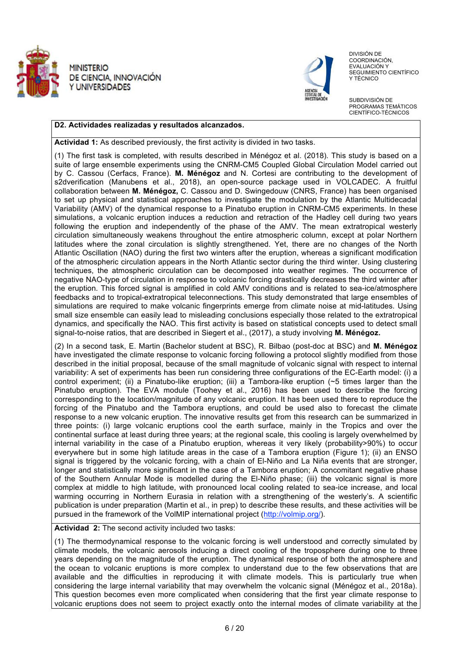



 DIVISIÓN DE COORDINACIÓN, EVALUACIÓN Y SEGUIMIENTO CIENTÍFICO Y TÉCNICO

SUBDIVISIÓN DE PROGRAMAS TEMÁTICOS CIENTÍFICO-TÉCNICOS

#### **D2. Actividades realizadas y resultados alcanzados.**

**Actividad 1:** As described previously, the first activity is divided in two tasks.

(1) The first task is completed, with results described in Ménégoz et al. (2018)*.* This study is based on a suite of large ensemble experiments using the CNRM-CM5 Coupled Global Circulation Model carried out by C. Cassou (Cerfacs, France). **M. Ménégoz** and N. Cortesi are contributing to the development of s2dverification (Manubens et al., 2018), an open-source package used in VOLCADEC. A fruitful collaboration between **M. Ménégoz,** C. Cassou and D. Swingedouw (CNRS, France) has been organised to set up physical and statistical approaches to investigate the modulation by the Atlantic Multidecadal Variability (AMV) of the dynamical response to a Pinatubo eruption in CNRM-CM5 experiments. In these simulations, a volcanic eruption induces a reduction and retraction of the Hadley cell during two years following the eruption and independently of the phase of the AMV. The mean extratropical westerly circulation simultaneously weakens throughout the entire atmospheric column, except at polar Northern latitudes where the zonal circulation is slightly strengthened. Yet, there are no changes of the North Atlantic Oscillation (NAO) during the first two winters after the eruption, whereas a significant modification of the atmospheric circulation appears in the North Atlantic sector during the third winter. Using clustering techniques, the atmospheric circulation can be decomposed into weather regimes. The occurrence of negative NAO-type of circulation in response to volcanic forcing drastically decreases the third winter after the eruption. This forced signal is amplified in cold AMV conditions and is related to sea-ice/atmosphere feedbacks and to tropical-extratropical teleconnections. This study demonstrated that large ensembles of simulations are required to make volcanic fingerprints emerge from climate noise at mid-latitudes. Using small size ensemble can easily lead to misleading conclusions especially those related to the extratropical dynamics, and specifically the NAO. This first activity is based on statistical concepts used to detect small signal-to-noise ratios, that are described in Siegert et al., (2017), a study involving **M. Ménégoz.**

(2) In a second task, E. Martin (Bachelor student at BSC), R. Bilbao (post-doc at BSC) and **M. Ménégoz**  have investigated the climate response to volcanic forcing following a protocol slightly modified from those described in the initial proposal, because of the small magnitude of volcanic signal with respect to internal variability: A set of experiments has been run considering three configurations of the EC-Earth model: (i) a control experiment; (ii) a Pinatubo-like eruption; (iii) a Tambora-like eruption (~5 times larger than the Pinatubo eruption). The EVA module (Toohey et al., 2016) has been used to describe the forcing corresponding to the location/magnitude of any volcanic eruption. It has been used there to reproduce the forcing of the Pinatubo and the Tambora eruptions, and could be used also to forecast the climate response to a new volcanic eruption. The innovative results get from this research can be summarized in three points: (i) large volcanic eruptions cool the earth surface, mainly in the Tropics and over the continental surface at least during three years; at the regional scale, this cooling is largely overwhelmed by internal variability in the case of a Pinatubo eruption, whereas it very likely (probability>90%) to occur everywhere but in some high latitude areas in the case of a Tambora eruption (Figure 1); (ii) an ENSO signal is triggered by the volcanic forcing, with a chain of El-Niño and La Niña events that are stronger, longer and statistically more significant in the case of a Tambora eruption; A concomitant negative phase of the Southern Annular Mode is modelled during the El-Niño phase; (iii) the volcanic signal is more complex at middle to high latitude, with pronounced local cooling related to sea-ice increase, and local warming occurring in Northern Eurasia in relation with a strengthening of the westerly's. A scientific publication is under preparation (Martin et al., in prep) to describe these results, and these activities will be pursued in the framework of the VolMIP international project (http://volmip.org/).

**Actividad 2:** The second activity included two tasks:

(1) The thermodynamical response to the volcanic forcing is well understood and correctly simulated by climate models, the volcanic aerosols inducing a direct cooling of the troposphere during one to three years depending on the magnitude of the eruption. The dynamical response of both the atmosphere and the ocean to volcanic eruptions is more complex to understand due to the few observations that are available and the difficulties in reproducing it with climate models. This is particularly true when considering the large internal variability that may overwhelm the volcanic signal (Ménégoz et al., 2018a). This question becomes even more complicated when considering that the first year climate response to volcanic eruptions does not seem to project exactly onto the internal modes of climate variability at the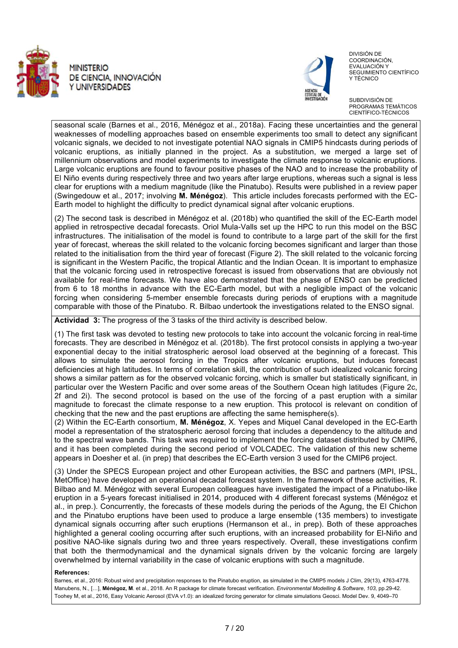



 DIVISIÓN DE COORDINACIÓN, EVALUACIÓN Y SEGUIMIENTO CIENTÍFICO Y TÉCNICO

SUBDIVISIÓN DE PROGRAMAS TEMÁTICOS CIENTÍFICO-TÉCNICOS

seasonal scale (Barnes et al., 2016, Ménégoz et al., 2018a). Facing these uncertainties and the general weaknesses of modelling approaches based on ensemble experiments too small to detect any significant volcanic signals, we decided to not investigate potential NAO signals in CMIP5 hindcasts during periods of volcanic eruptions, as initially planned in the project. As a substitution, we merged a large set of millennium observations and model experiments to investigate the climate response to volcanic eruptions. Large volcanic eruptions are found to favour positive phases of the NAO and to increase the probability of El Niño events during respectively three and two years after large eruptions, whereas such a signal is less clear for eruptions with a medium magnitude (like the Pinatubo). Results were published in a review paper (Swingedouw et al., 2017; involving **M. Ménégoz**). This article includes forecasts performed with the EC-Earth model to highlight the difficulty to predict dynamical signal after volcanic eruptions.

(2) The second task is described in Ménégoz et al. (2018b) who quantified the skill of the EC-Earth model applied in retrospective decadal forecasts. Oriol Mula-Valls set up the HPC to run this model on the BSC infrastructures. The initialisation of the model is found to contribute to a large part of the skill for the first year of forecast, whereas the skill related to the volcanic forcing becomes significant and larger than those related to the initialisation from the third year of forecast (Figure 2). The skill related to the volcanic forcing is significant in the Western Pacific, the tropical Atlantic and the Indian Ocean. It is important to emphasize that the volcanic forcing used in retrospective forecast is issued from observations that are obviously not available for real-time forecasts. We have also demonstrated that the phase of ENSO can be predicted from 6 to 18 months in advance with the EC-Earth model, but with a negligible impact of the volcanic forcing when considering 5-member ensemble forecasts during periods of eruptions with a magnitude comparable with those of the Pinatubo. R. Bilbao undertook the investigations related to the ENSO signal.

**Actividad 3:** The progress of the 3 tasks of the third activity is described below.

(1) The first task was devoted to testing new protocols to take into account the volcanic forcing in real-time forecasts. They are described in Ménégoz et al. (2018b). The first protocol consists in applying a two-year exponential decay to the initial stratospheric aerosol load observed at the beginning of a forecast. This allows to simulate the aerosol forcing in the Tropics after volcanic eruptions, but induces forecast deficiencies at high latitudes. In terms of correlation skill, the contribution of such idealized volcanic forcing shows a similar pattern as for the observed volcanic forcing, which is smaller but statistically significant, in particular over the Western Pacific and over some areas of the Southern Ocean high latitudes (Figure 2c, 2f and 2i). The second protocol is based on the use of the forcing of a past eruption with a similar magnitude to forecast the climate response to a new eruption. This protocol is relevant on condition of checking that the new and the past eruptions are affecting the same hemisphere(s).

(2) Within the EC-Earth consortium, **M. Ménégoz**, X. Yepes and Miquel Canal developed in the EC-Earth model a representation of the stratospheric aerosol forcing that includes a dependency to the altitude and to the spectral wave bands. This task was required to implement the forcing dataset distributed by CMIP6, and it has been completed during the second period of VOLCADEC. The validation of this new scheme appears in Doesher et al. (in prep) that describes the EC-Earth version 3 used for the CMIP6 project.

(3) Under the SPECS European project and other European activities, the BSC and partners (MPI, IPSL, MetOffice) have developed an operational decadal forecast system. In the framework of these activities, R. Bilbao and M. Ménégoz with several European colleagues have investigated the impact of a Pinatubo-like eruption in a 5-years forecast initialised in 2014, produced with 4 different forecast systems (Ménégoz et al., in prep.). Concurrently, the forecasts of these models during the periods of the Agung, the El Chichon and the Pinatubo eruptions have been used to produce a large ensemble (135 members) to investigate dynamical signals occurring after such eruptions (Hermanson et al., in prep). Both of these approaches highlighted a general cooling occurring after such eruptions, with an increased probability for El-Niño and positive NAO-like signals during two and three years respectively. Overall, these investigations confirm that both the thermodynamical and the dynamical signals driven by the volcanic forcing are largely overwhelmed by internal variability in the case of volcanic eruptions with such a magnitude.

#### **References:**

Barnes, et al., 2016: Robust wind and precipitation responses to the Pinatubo eruption, as simulated in the CMIP5 models J Clim, 29(13), 4763-4778. Manubens, N., [], **Ménégoz, M**. et al., 2018. An R package for climate forecast verification. *Environmental Modelling & Software*, *103*, pp.29-42. Toohey M, et al., 2016, Easy Volcanic Aerosol (EVA v1.0): an idealized forcing generator for climate simulations Geosci. Model Dev. 9, 4049–70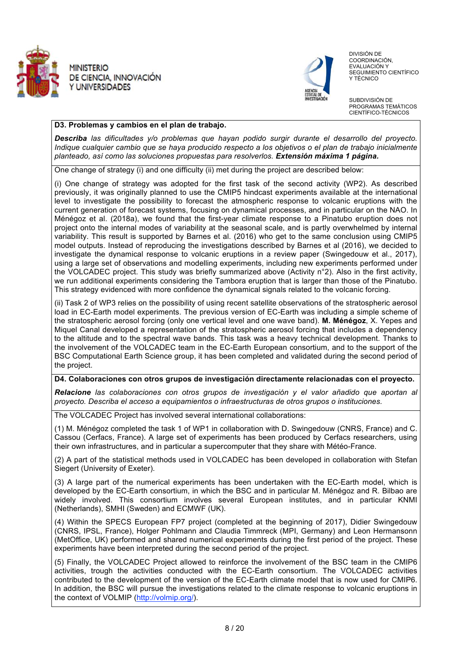



 DIVISIÓN DE COORDINACIÓN, EVALUACIÓN Y SEGUIMIENTO CIENTÍFICO Y TÉCNICO

SUBDIVISIÓN DE PROGRAMAS TEMÁTICOS CIENTÍFICO-TÉCNICOS

#### **D3. Problemas y cambios en el plan de trabajo.**

*Describa las dificultades y/o problemas que hayan podido surgir durante el desarrollo del proyecto. Indique cualquier cambio que se haya producido respecto a los objetivos o el plan de trabajo inicialmente planteado, así como las soluciones propuestas para resolverlos. Extensión máxima 1 página.*

One change of strategy (i) and one difficulty (ii) met during the project are described below:

(i) One change of strategy was adopted for the first task of the second activity (WP2). As described previously, it was originally planned to use the CMIP5 hindcast experiments available at the international level to investigate the possibility to forecast the atmospheric response to volcanic eruptions with the current generation of forecast systems, focusing on dynamical processes, and in particular on the NAO. In Ménégoz et al. (2018a), we found that the first-year climate response to a Pinatubo eruption does not project onto the internal modes of variability at the seasonal scale, and is partly overwhelmed by internal variability. This result is supported by Barnes et al. (2016) who get to the same conclusion using CMIP5 model outputs. Instead of reproducing the investigations described by Barnes et al (2016), we decided to investigate the dynamical response to volcanic eruptions in a review paper (Swingedouw et al., 2017), using a large set of observations and modelling experiments, including new experiments performed under the VOLCADEC project. This study was briefly summarized above (Activity n°2). Also in the first activity, we run additional experiments considering the Tambora eruption that is larger than those of the Pinatubo. This strategy evidenced with more confidence the dynamical signals related to the volcanic forcing.

(ii) Task 2 of WP3 relies on the possibility of using recent satellite observations of the stratospheric aerosol load in EC-Earth model experiments. The previous version of EC-Earth was including a simple scheme of the stratospheric aerosol forcing (only one vertical level and one wave band). **M. Ménégoz**, X. Yepes and Miquel Canal developed a representation of the stratospheric aerosol forcing that includes a dependency to the altitude and to the spectral wave bands. This task was a heavy technical development. Thanks to the involvement of the VOLCADEC team in the EC-Earth European consortium, and to the support of the BSC Computational Earth Science group, it has been completed and validated during the second period of the project.

#### **D4. Colaboraciones con otros grupos de investigación directamente relacionadas con el proyecto.**

*Relacione las colaboraciones con otros grupos de investigación y el valor añadido que aportan al proyecto. Describa el acceso a equipamientos o infraestructuras de otros grupos o instituciones.*

The VOLCADEC Project has involved several international collaborations:

(1) M. Ménégoz completed the task 1 of WP1 in collaboration with D. Swingedouw (CNRS, France) and C. Cassou (Cerfacs, France). A large set of experiments has been produced by Cerfacs researchers, using their own infrastructures, and in particular a supercomputer that they share with Météo-France.

(2) A part of the statistical methods used in VOLCADEC has been developed in collaboration with Stefan Siegert (University of Exeter).

(3) A large part of the numerical experiments has been undertaken with the EC-Earth model, which is developed by the EC-Earth consortium, in which the BSC and in particular M. Ménégoz and R. Bilbao are widely involved. This consortium involves several European institutes, and in particular KNMI (Netherlands), SMHI (Sweden) and ECMWF (UK).

(4) Within the SPECS European FP7 project (completed at the beginning of 2017), Didier Swingedouw (CNRS, IPSL, France), Holger Pohlmann and Claudia Timmreck (MPI, Germany) and Leon Hermansonn (MetOffice, UK) performed and shared numerical experiments during the first period of the project. These experiments have been interpreted during the second period of the project.

(5) Finally, the VOLCADEC Project allowed to reinforce the involvement of the BSC team in the CMIP6 activities, trough the activities conducted with the EC-Earth consortium. The VOLCADEC activities contributed to the development of the version of the EC-Earth climate model that is now used for CMIP6. In addition, the BSC will pursue the investigations related to the climate response to volcanic eruptions in the context of VOLMIP (http://volmip.org/).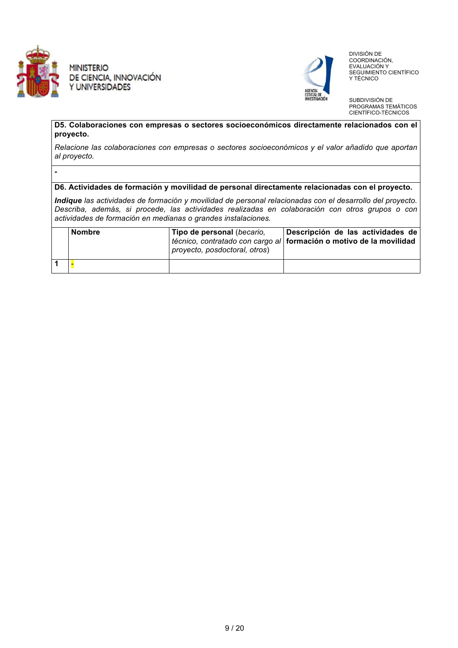

**-** 

**MINISTERIO** DE CIENCIA, INNOVACIÓN Y UNIVERSIDADES



 DIVISIÓN DE COORDINACIÓN, EVALUACIÓN Y SEGUIMIENTO CIENTÍFICO Y TÉCNICO

SUBDIVISIÓN DE PROGRAMAS TEMÁTICOS CIENTÍFICO-TÉCNICOS

**D5. Colaboraciones con empresas o sectores socioeconómicos directamente relacionados con el proyecto.** 

*Relacione las colaboraciones con empresas o sectores socioeconómicos y el valor añadido que aportan al proyecto.*

#### **D6. Actividades de formación y movilidad de personal directamente relacionadas con el proyecto.**

*Indique las actividades de formación y movilidad de personal relacionadas con el desarrollo del proyecto. Describa, además, si procede, las actividades realizadas en colaboración con otros grupos o con actividades de formación en medianas o grandes instalaciones.* 

| <b>Nombre</b> | Tipo de personal (becario,<br>proyecto, posdoctoral, otros) | Descripción de las actividades de<br>técnico, contratado con cargo al formación o motivo de la movilidad |
|---------------|-------------------------------------------------------------|----------------------------------------------------------------------------------------------------------|
|               |                                                             |                                                                                                          |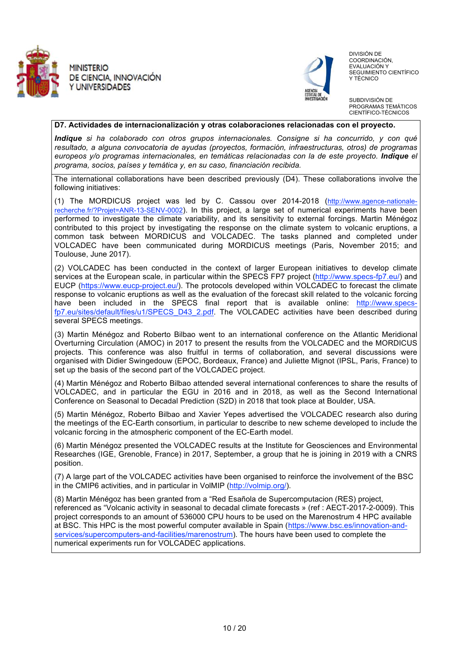



 DIVISIÓN DE COORDINACIÓN, EVALUACIÓN Y SEGUIMIENTO CIENTÍFICO Y TÉCNICO

SUBDIVISIÓN DE PROGRAMAS TEMÁTICOS CIENTÍFICO-TÉCNICOS

#### **D7. Actividades de internacionalización y otras colaboraciones relacionadas con el proyecto.**

*Indique si ha colaborado con otros grupos internacionales. Consigne si ha concurrido, y con qué resultado, a alguna convocatoria de ayudas (proyectos, formación, infraestructuras, otros) de programas europeos y/o programas internacionales, en temáticas relacionadas con la de este proyecto. Indique el programa, socios, países y temática y, en su caso, financiación recibida.*

The international collaborations have been described previously (D4). These collaborations involve the following initiatives:

(1) The MORDICUS project was led by C. Cassou over 2014-2018 (http://www.agence-nationalerecherche.fr/?Projet=ANR-13-SENV-0002). In this project, a large set of numerical experiments have been performed to investigate the climate variability, and its sensitivity to external forcings. Martin Ménégoz contributed to this project by investigating the response on the climate system to volcanic eruptions, a common task between MORDICUS and VOLCADEC. The tasks planned and completed under VOLCADEC have been communicated during MORDICUS meetings (Paris, November 2015; and Toulouse, June 2017).

(2) VOLCADEC has been conducted in the context of larger European initiatives to develop climate services at the European scale, in particular within the SPECS FP7 project (http://www.specs-fp7.eu/) and EUCP (https://www.eucp-project.eu/). The protocols developed within VOLCADEC to forecast the climate response to volcanic eruptions as well as the evaluation of the forecast skill related to the volcanic forcing have been included in the SPECS final report that is available online: http://www.specsfp7.eu/sites/default/files/u1/SPECS\_D43\_2.pdf. The VOLCADEC activities have been described during several SPECS meetings.

(3) Martin Ménégoz and Roberto Bilbao went to an international conference on the Atlantic Meridional Overturning Circulation (AMOC) in 2017 to present the results from the VOLCADEC and the MORDICUS projects. This conference was also fruitful in terms of collaboration, and several discussions were organised with Didier Swingedouw (EPOC, Bordeaux, France) and Juliette Mignot (IPSL, Paris, France) to set up the basis of the second part of the VOLCADEC project.

(4) Martin Ménégoz and Roberto Bilbao attended several international conferences to share the results of VOLCADEC, and in particular the EGU in 2016 and in 2018, as well as the Second International Conference on Seasonal to Decadal Prediction (S2D) in 2018 that took place at Boulder, USA.

(5) Martin Ménégoz, Roberto Bilbao and Xavier Yepes advertised the VOLCADEC research also during the meetings of the EC-Earth consortium, in particular to describe to new scheme developed to include the volcanic forcing in the atmospheric component of the EC-Earth model.

(6) Martin Ménégoz presented the VOLCADEC results at the Institute for Geosciences and Environmental Researches (IGE, Grenoble, France) in 2017, September, a group that he is joining in 2019 with a CNRS position.

(7) A large part of the VOLCADEC activities have been organised to reinforce the involvement of the BSC in the CMIP6 activities, and in particular in VolMIP (http://volmip.org/).

(8) Martin Ménégoz has been granted from a "Red Esañola de Supercomputacion (RES) project, referenced as "Volcanic activity in seasonal to decadal climate forecasts » (ref : AECT-2017-2-0009). This project corresponds to an amount of 536000 CPU hours to be used on the Marenostrum 4 HPC available at BSC. This HPC is the most powerful computer available in Spain (https://www.bsc.es/innovation-andservices/supercomputers-and-facilities/marenostrum). The hours have been used to complete the numerical experiments run for VOLCADEC applications.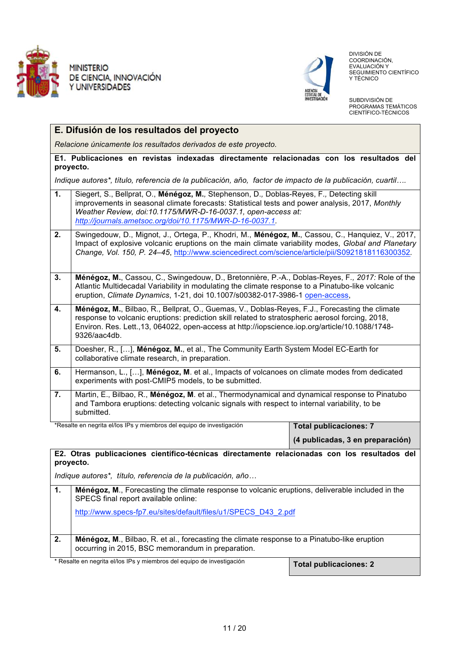

**E. Difusión de los resultados del proyecto** 

*Relacione únicamente los resultados derivados de este proyecto.* 



 DIVISIÓN DE COORDINACIÓN, EVALUACIÓN Y SEGUIMIENTO CIENTÍFICO Y TÉCNICO

SUBDIVISIÓN DE PROGRAMAS TEMÁTICOS CIENTÍFICO-TÉCNICOS

|    | E1. Publicaciones en revistas indexadas directamente relacionadas con los resultados del<br>proyecto.                                                                                                                                                                                                                    |                               |  |  |  |  |  |
|----|--------------------------------------------------------------------------------------------------------------------------------------------------------------------------------------------------------------------------------------------------------------------------------------------------------------------------|-------------------------------|--|--|--|--|--|
|    | Indique autores*, título, referencia de la publicación, año, factor de impacto de la publicación, cuartil                                                                                                                                                                                                                |                               |  |  |  |  |  |
| 1. | Siegert, S., Bellprat, O., Ménégoz, M., Stephenson, D., Doblas-Reyes, F., Detecting skill<br>improvements in seasonal climate forecasts: Statistical tests and power analysis, 2017, Monthly<br>Weather Review, doi:10.1175/MWR-D-16-0037.1, open-access at:<br>http://journals.ametsoc.org/doi/10.1175/MWR-D-16-0037.1. |                               |  |  |  |  |  |
| 2. | Swingedouw, D., Mignot, J., Ortega, P., Khodri, M., Ménégoz, M., Cassou, C., Hanquiez, V., 2017,<br>Impact of explosive volcanic eruptions on the main climate variability modes, Global and Planetary<br>Change, Vol. 150, P. 24-45, http://www.sciencedirect.com/science/article/pii/S0921818116300352.                |                               |  |  |  |  |  |
| 3. | Ménégoz, M., Cassou, C., Swingedouw, D., Bretonnière, P.-A., Doblas-Reyes, F., 2017: Role of the<br>Atlantic Multidecadal Variability in modulating the climate response to a Pinatubo-like volcanic<br>eruption, Climate Dynamics, 1-21, doi 10.1007/s00382-017-3986-1 open-access,                                     |                               |  |  |  |  |  |
| 4. | Ménégoz, M., Bilbao, R., Bellprat, O., Guemas, V., Doblas-Reyes, F.J., Forecasting the climate<br>response to volcanic eruptions: prediction skill related to stratospheric aerosol forcing, 2018,<br>Environ. Res. Lett., 13, 064022, open-access at http://iopscience.iop.org/article/10.1088/1748-<br>9326/aac4db.    |                               |  |  |  |  |  |
| 5. | Doesher, R., [], Ménégoz, M., et al., The Community Earth System Model EC-Earth for<br>collaborative climate research, in preparation.                                                                                                                                                                                   |                               |  |  |  |  |  |
| 6. | Hermanson, L., [], Ménégoz, M. et al., Impacts of volcanoes on climate modes from dedicated<br>experiments with post-CMIP5 models, to be submitted.                                                                                                                                                                      |                               |  |  |  |  |  |
| 7. | Martin, E., Bilbao, R., Ménégoz, M. et al., Thermodynamical and dynamical response to Pinatubo<br>and Tambora eruptions: detecting volcanic signals with respect to internal variability, to be<br>submitted.                                                                                                            |                               |  |  |  |  |  |
|    | *Resalte en negrita el/los IPs y miembros del equipo de investigación                                                                                                                                                                                                                                                    | <b>Total publicaciones: 7</b> |  |  |  |  |  |

**E2. Otras publicaciones científico-técnicas directamente relacionadas con los resultados del proyecto.** 

*Indique autores\*, título, referencia de la publicación, año*

| 1. | <b>Ménégoz, M.</b> , Forecasting the climate response to volcanic eruptions, deliverable included in the<br>SPECS final report available online:  |  |  |  |  |  |
|----|---------------------------------------------------------------------------------------------------------------------------------------------------|--|--|--|--|--|
|    | http://www.specs-fp7.eu/sites/default/files/u1/SPECS D43 2.pdf                                                                                    |  |  |  |  |  |
| 2. | Ménégoz, M., Bilbao, R. et al., forecasting the climate response to a Pinatubo-like eruption<br>occurring in 2015, BSC memorandum in preparation. |  |  |  |  |  |
|    | * Resalte en negrita el/los IPs y miembros del equino de investigación                                                                            |  |  |  |  |  |

Resalte en negrita el/los IPs y miembros del equipo de investigación **Total publicaciones: 2** 

**(4 publicadas, 3 en preparación)**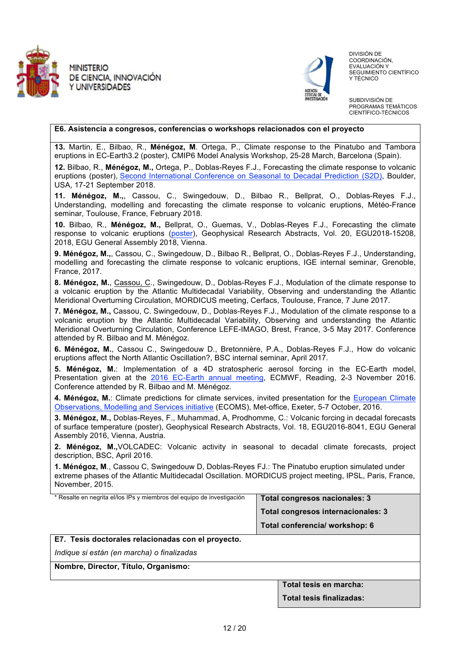



 DIVISIÓN DE COORDINACIÓN, EVALUACIÓN Y SEGUIMIENTO CIENTÍFICO Y TÉCNICO

SUBDIVISIÓN DE PROGRAMAS TEMÁTICOS CIENTÍFICO-TÉCNICOS

#### **E6. Asistencia a congresos, conferencias o workshops relacionados con el proyecto**

**13.** Martin, E., Bilbao, R., **Ménégoz, M**. Ortega, P., Climate response to the Pinatubo and Tambora eruptions in EC-Earth3.2 (poster), CMIP6 Model Analysis Workshop, 25-28 March, Barcelona (Spain).

**12.** Bilbao, R., **Ménégoz, M.,** Ortega, P., Doblas-Reyes F.J., Forecasting the climate response to volcanic eruptions (poster), Second International Conference on Seasonal to Decadal Prediction (S2D), Boulder, USA, 17-21 September 2018.

**11. Ménégoz, M.,**, Cassou, C., Swingedouw, D., Bilbao R., Bellprat, O., Doblas-Reyes F.J., Understanding, modelling and forecasting the climate response to volcanic eruptions, Météo-France seminar, Toulouse, France, February 2018.

**10.** Bilbao, R., **Ménégoz, M.,** Bellprat, O., Guemas, V., Doblas-Reyes F.J., Forecasting the climate response to volcanic eruptions (poster), Geophysical Research Abstracts, Vol. 20, EGU2018-15208, 2018, EGU General Assembly 2018, Vienna.

**9. Ménégoz, M.,**, Cassou, C., Swingedouw, D., Bilbao R., Bellprat, O., Doblas-Reyes F.J., Understanding, modelling and forecasting the climate response to volcanic eruptions, IGE internal seminar, Grenoble, France, 2017.

**8. Ménégoz, M.**, Cassou, C., Swingedouw, D., Doblas-Reyes F.J., Modulation of the climate response to a volcanic eruption by the Atlantic Multidecadal Variability, Observing and understanding the Atlantic Meridional Overturning Circulation, MORDICUS meeting, Cerfacs, Toulouse, France, 7 June 2017.

**7. Ménégoz, M.,** Cassou, C. Swingedouw, D., Doblas-Reyes F.J., Modulation of the climate response to a volcanic eruption by the Atlantic Multidecadal Variability, Observing and understanding the Atlantic Meridional Overturning Circulation, Conference LEFE-IMAGO, Brest, France, 3-5 May 2017. Conference attended by R. Bilbao and M. Ménégoz.

**6. Ménégoz, M.**, Cassou C., Swingedouw D., Bretonnière, P.A., Doblas-Reyes F.J., How do volcanic eruptions affect the North Atlantic Oscillation?, BSC internal seminar, April 2017.

**5. Ménégoz, M.**: Implementation of a 4D stratospheric aerosol forcing in the EC-Earth model, Presentation given at the 2016 EC-Earth annual meeting, ECMWF, Reading, 2-3 November 2016. Conference attended by R. Bilbao and M. Ménégoz.

**4. Ménégoz, M.**: Climate predictions for climate services, invited presentation for the European Climate Observations, Modelling and Services initiative (ECOMS), Met-office, Exeter, 5-7 October, 2016.

**3. Ménégoz, M.,** Doblas-Reyes, F., Muhammad, A, Prodhomme, C.: Volcanic forcing in decadal forecasts of surface temperature (poster), Geophysical Research Abstracts, Vol. 18, EGU2016-8041, EGU General Assembly 2016, Vienna, Austria.

**2. Ménégoz, M.,**VOLCADEC: Volcanic activity in seasonal to decadal climate forecasts, project description, BSC, April 2016.

**1. Ménégoz, M**., Cassou C, Swingedouw D, Doblas-Reyes FJ.: The Pinatubo eruption simulated under extreme phases of the Atlantic Multidecadal Oscillation. MORDICUS project meeting, IPSL, Paris, France, November, 2015.

\* Resalte en negrita el/los IPs y miembros del equipo de investigación **Total congresos nacionales: 3 Total congresos internacionales: 3 Total conferencia/ workshop: 6** 

**E7. Tesis doctorales relacionadas con el proyecto.** 

*Indique si están (en marcha) o finalizadas*

**Nombre, Director, Título, Organismo:** 

**Total tesis en marcha:** 

**Total tesis finalizadas:**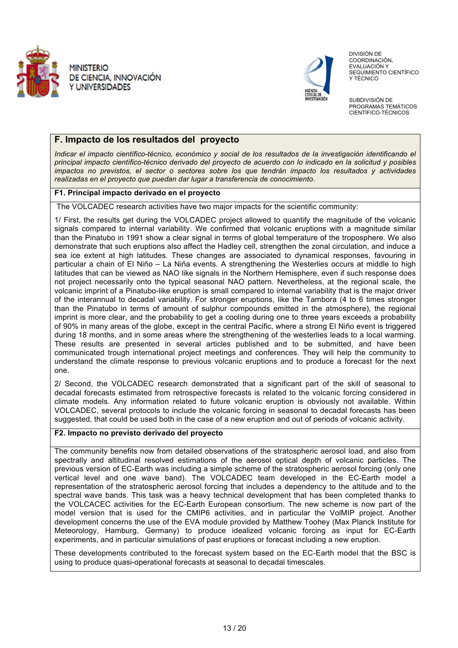



 DIVISIÓN DE COORDINACIÓN, EVALUACIÓN Y SEGUIMIENTO CIENTÍFICO Y TÉCNICO

SUBDIVISIÓN DE PROGRAMAS TEMÁTICOS CIENTÍFICO-TÉCNICOS

### **F. Impacto de los resultados del proyecto**

*Indicar el impacto científico-técnico, económico y social de los resultados de la investigación identificando el principal impacto científico-técnico derivado del proyecto de acuerdo con lo indicado en la solicitud y posibles impactos no previstos, el sector o sectores sobre los que tendrán impacto los resultados y actividades realizadas en el proyecto que puedan dar lugar a transferencia de conocimiento*.

#### **F1. Principal impacto derivado en el proyecto**

The VOLCADEC research activities have two major impacts for the scientific community:

1/ First, the results get during the VOLCADEC project allowed to quantify the magnitude of the volcanic signals compared to internal variability. We confirmed that volcanic eruptions with a magnitude similar than the Pinatubo in 1991 show a clear signal in terms of global temperature of the troposphere. We also demonstrate that such eruptions also affect the Hadley cell, strengthen the zonal circulation, and induce a sea ice extent at high latitudes. These changes are associated to dynamical responses, favouring in particular a chain of El Niño – La Niña events. A strengthening the Westerlies occurs at middle to high latitudes that can be viewed as NAO like signals in the Northern Hemisphere, even if such response does not project necessarily onto the typical seasonal NAO pattern. Nevertheless, at the regional scale, the volcanic imprint of a Pinatubo-like eruption is small compared to internal variability that is the major driver of the interannual to decadal variability. For stronger eruptions, like the Tambora (4 to 6 times stronger than the Pinatubo in terms of amount of sulphur compounds emitted in the atmosphere), the regional imprint is more clear, and the probability to get a cooling during one to three years exceeds a probability of 90% in many areas of the globe, except in the central Pacific, where a strong El Niño event is triggered during 18 months, and in some areas where the strengthening of the westerlies leads to a local warming. These results are presented in several articles published and to be submitted, and have been communicated trough international project meetings and conferences. They will help the community to understand the climate response to previous volcanic eruptions and to produce a forecast for the next one.

2/ Second, the VOLCADEC research demonstrated that a significant part of the skill of seasonal to decadal forecasts estimated from retrospective forecasts is related to the volcanic forcing considered in climate models. Any information related to future volcanic eruption is obviously not available. Within VOLCADEC, several protocols to include the volcanic forcing in seasonal to decadal forecasts has been suggested, that could be used both in the case of a new eruption and out of periods of volcanic activity.

#### **F2. Impacto no previsto derivado del proyecto**

The community benefits now from detailed observations of the stratospheric aerosol load, and also from spectrally and altitudinal resolved estimations of the aerosol optical depth of volcanic particles. The previous version of EC-Earth was including a simple scheme of the stratospheric aerosol forcing (only one vertical level and one wave band). The VOLCADEC team developed in the EC-Earth model a representation of the stratospheric aerosol forcing that includes a dependency to the altitude and to the spectral wave bands. This task was a heavy technical development that has been completed thanks to the VOLCACEC activities for the EC-Earth European consortium. The new scheme is now part of the model version that is used for the CMIP6 activities, and in particular the VolMIP project. Another development concerns the use of the EVA module provided by Matthew Toohey (Max Planck Institute for Meteorology, Hamburg, Germany) to produce idealized volcanic forcing as input for EC-Earth experiments, and in particular simulations of past eruptions or forecast including a new eruption.

These developments contributed to the forecast system based on the EC-Earth model that the BSC is using to produce quasi-operational forecasts at seasonal to decadal timescales.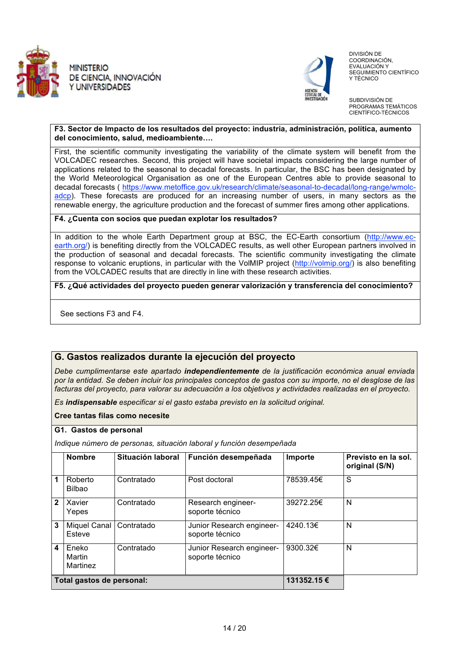



 DIVISIÓN DE COORDINACIÓN, EVALUACIÓN Y SEGUIMIENTO CIENTÍFICO Y TÉCNICO

SUBDIVISIÓN DE PROGRAMAS TEMÁTICOS CIENTÍFICO-TÉCNICOS

#### **F3. Sector de Impacto de los resultados del proyecto: industria, administración, política, aumento del conocimiento, salud, medioambiente.**

First, the scientific community investigating the variability of the climate system will benefit from the VOLCADEC researches. Second, this project will have societal impacts considering the large number of applications related to the seasonal to decadal forecasts. In particular, the BSC has been designated by the World Meteorological Organisation as one of the European Centres able to provide seasonal to decadal forecasts ( https://www.metoffice.gov.uk/research/climate/seasonal-to-decadal/long-range/wmolcadcp). These forecasts are produced for an increasing number of users, in many sectors as the renewable energy, the agriculture production and the forecast of summer fires among other applications.

#### **F4. ¿Cuenta con socios que puedan explotar los resultados?**

In addition to the whole Earth Department group at BSC, the EC-Earth consortium (http://www.ecearth.org/) is benefiting directly from the VOLCADEC results, as well other European partners involved in the production of seasonal and decadal forecasts. The scientific community investigating the climate response to volcanic eruptions, in particular with the VolMIP project (http://volmip.org/) is also benefiting from the VOLCADEC results that are directly in line with these research activities.

**F5. ¿Qué actividades del proyecto pueden generar valorización y transferencia del conocimiento?** 

See sections F3 and F4.

### **G. Gastos realizados durante la ejecución del proyecto**

*Debe cumplimentarse este apartado independientemente de la justificación económica anual enviada por la entidad. Se deben incluir los principales conceptos de gastos con su importe, no el desglose de las facturas del proyecto, para valorar su adecuación a los objetivos y actividades realizadas en el proyecto.* 

*Es indispensable especificar si el gasto estaba previsto en la solicitud original.* 

#### **Cree tantas filas como necesite**

#### **G1. Gastos de personal**

*Indique número de personas, situación laboral y función desempeñada*

|                           | <b>Nombre</b>                 | Situación laboral | Función desempeñada                          | Importe   | Previsto en la sol.<br>original (S/N) |
|---------------------------|-------------------------------|-------------------|----------------------------------------------|-----------|---------------------------------------|
| 1                         | Roberto<br><b>Bilbao</b>      | Contratado        | Post doctoral                                | 78539.45€ | S                                     |
| $\overline{2}$            | Xavier<br>Yepes               | Contratado        | Research engineer-<br>soporte técnico        | 39272.25€ | N                                     |
| 3                         | <b>Miquel Canal</b><br>Esteve | Contratado        | Junior Research engineer-<br>soporte técnico | 4240.13€  | N                                     |
| 4                         | Eneko<br>Martin<br>Martinez   | Contratado        | Junior Research engineer-<br>soporte técnico | 9300.32€  | N                                     |
| Total gastos de personal: |                               | 131352.15 €       |                                              |           |                                       |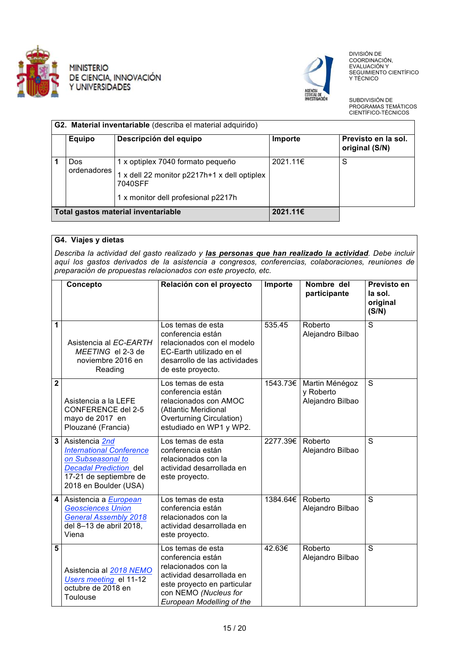



 DIVISIÓN DE COORDINACIÓN, EVALUACIÓN Y SEGUIMIENTO CIENTÍFICO Y TÉCNICO

SUBDIVISIÓN DE PROGRAMAS TEMÁTICOS CIENTÍFICO-TÉCNICOS

|                                     | G2. Material inventariable (describa el material adquirido) |                                                                                                                                     |          |                                       |  |
|-------------------------------------|-------------------------------------------------------------|-------------------------------------------------------------------------------------------------------------------------------------|----------|---------------------------------------|--|
|                                     | <b>Equipo</b>                                               | Descripción del equipo                                                                                                              | Importe  | Previsto en la sol.<br>original (S/N) |  |
|                                     | Dos<br>ordenadores                                          | 1 x optiplex 7040 formato pequeño<br>1 x dell 22 monitor p2217h+1 x dell optiplex<br>7040SFF<br>1 x monitor dell profesional p2217h | 2021.11€ | S                                     |  |
| Total gastos material inventariable |                                                             | 2021.11€                                                                                                                            |          |                                       |  |

#### **G4. Viajes y dietas**

*Describa la actividad del gasto realizado y las personas que han realizado la actividad. Debe incluir aquí los gastos derivados de la asistencia a congresos, conferencias, colaboraciones, reuniones de preparación de propuestas relacionados con este proyecto, etc.*

|                | Concepto                                                                                                                                                   | Relación con el proyecto                                                                                                                                                        | Importe  | Nombre del<br>participante                      | Previsto en<br>la sol.<br>original<br>(S/N) |
|----------------|------------------------------------------------------------------------------------------------------------------------------------------------------------|---------------------------------------------------------------------------------------------------------------------------------------------------------------------------------|----------|-------------------------------------------------|---------------------------------------------|
| 1              | Asistencia al EC-EARTH<br>MEETING el 2-3 de<br>noviembre 2016 en<br>Reading                                                                                | Los temas de esta<br>conferencia están<br>relacionados con el modelo<br>EC-Earth utilizado en el<br>desarrollo de las actividades<br>de este proyecto.                          | 535.45   | Roberto<br>Alejandro Bilbao                     | $\overline{s}$                              |
| $\overline{2}$ | Asistencia a la LEFE<br><b>CONFERENCE del 2-5</b><br>mayo de 2017 en<br>Plouzané (Francia)                                                                 | Los temas de esta<br>conferencia están<br>relacionados con AMOC<br>(Atlantic Meridional<br>Overturning Circulation)<br>estudiado en WP1 y WP2.                                  | 1543.73€ | Martin Ménégoz<br>y Roberto<br>Alejandro Bilbao | S                                           |
| 3              | Asistencia 2nd<br><b>International Conference</b><br>on Subseasonal to<br><b>Decadal Prediction del</b><br>17-21 de septiembre de<br>2018 en Boulder (USA) | Los temas de esta<br>conferencia están<br>relacionados con la<br>actividad desarrollada en<br>este proyecto.                                                                    | 2277.39€ | Roberto<br>Alejandro Bilbao                     | S                                           |
| 4              | Asistencia a European<br><b>Geosciences Union</b><br><b>General Assembly 2018</b><br>del 8-13 de abril 2018,<br>Viena                                      | Los temas de esta<br>conferencia están<br>relacionados con la<br>actividad desarrollada en<br>este proyecto.                                                                    | 1384.64€ | Roberto<br>Alejandro Bilbao                     | S                                           |
| 5              | Asistencia al 2018 NEMO<br>Users meeting el 11-12<br>octubre de 2018 en<br>Toulouse                                                                        | Los temas de esta<br>conferencia están<br>relacionados con la<br>actividad desarrollada en<br>este proyecto en particular<br>con NEMO (Nucleus for<br>European Modelling of the | 42.63€   | Roberto<br>Alejandro Bilbao                     | $\overline{s}$                              |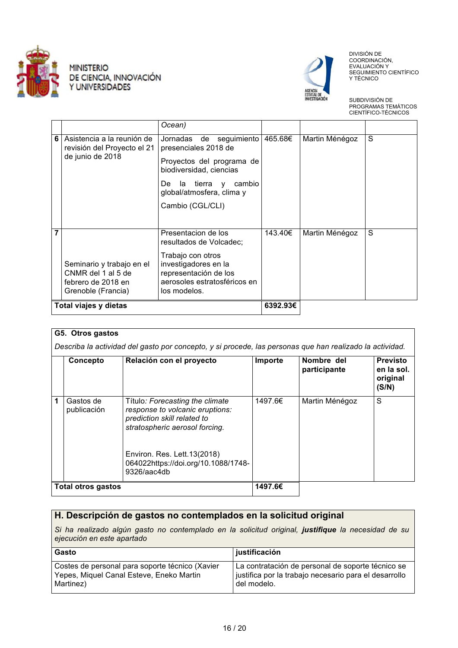



 DIVISIÓN DE COORDINACIÓN, EVALUACIÓN Y SEGUIMIENTO CIENTÍFICO Y TÉCNICO

SUBDIVISIÓN DE PROGRAMAS TEMÁTICOS CIENTÍFICO-TÉCNICOS

|   |                                                                                             | Ocean)                                                                                                                                                                            |                     |                |   |
|---|---------------------------------------------------------------------------------------------|-----------------------------------------------------------------------------------------------------------------------------------------------------------------------------------|---------------------|----------------|---|
| 6 | Asistencia a la reunión de<br>revisión del Proyecto el 21<br>de junio de 2018               | Jornadas de seguimiento<br>presenciales 2018 de<br>Proyectos del programa de<br>biodiversidad, ciencias<br>De la tierra y cambio<br>global/atmosfera, clima y<br>Cambio (CGL/CLI) | 465.68€             | Martin Ménégoz | S |
| 7 | Seminario y trabajo en el<br>CNMR del 1 al 5 de<br>febrero de 2018 en<br>Grenoble (Francia) | Presentacion de los<br>resultados de Volcadec;<br>Trabajo con otros<br>investigadores en la<br>representación de los<br>aerosoles estratosféricos en<br>los modelos.              | 143.40€<br>6392.93€ | Martin Ménégoz | S |
|   | Total viajes y dietas                                                                       |                                                                                                                                                                                   |                     |                |   |

| G5. Otros gastos<br>Describa la actividad del gasto por concepto, y si procede, las personas que han realizado la actividad. |                          |                                                                                                                                     |         |                            |                                                    |
|------------------------------------------------------------------------------------------------------------------------------|--------------------------|-------------------------------------------------------------------------------------------------------------------------------------|---------|----------------------------|----------------------------------------------------|
|                                                                                                                              | Concepto                 | Relación con el proyecto                                                                                                            | Importe | Nombre del<br>participante | <b>Previsto</b><br>en la sol.<br>original<br>(S/N) |
| 1                                                                                                                            | Gastos de<br>publicación | Título: Forecasting the climate<br>response to volcanic eruptions:<br>prediction skill related to<br>stratospheric aerosol forcing. | 1497.6€ | Martin Ménégoz             | S                                                  |
|                                                                                                                              |                          | Environ. Res. Lett. 13(2018)<br>064022https://doi.org/10.1088/1748-<br>9326/aac4db                                                  |         |                            |                                                    |
|                                                                                                                              | Total otros gastos       |                                                                                                                                     | 1497.6€ |                            |                                                    |

# **H. Descripción de gastos no contemplados en la solicitud original**

*Si ha realizado algún gasto no contemplado en la solicitud original, justifique la necesidad de su ejecución en este apartado* 

| l Gasto                                         | ∣ justificación                                       |
|-------------------------------------------------|-------------------------------------------------------|
| Costes de personal para soporte técnico (Xavier | La contratación de personal de soporte técnico se     |
| Yepes, Miquel Canal Esteve, Eneko Martin        | iustifica por la trabajo necesario para el desarrollo |
| Martinez)                                       | del modelo.                                           |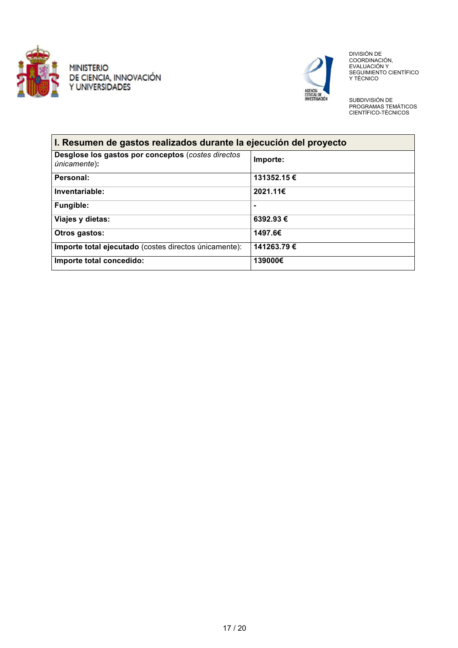



 DIVISIÓN DE COORDINACIÓN,<br>EVALUACIÓN Y<br>SEGUIMIENTO CIENTÍFICO Y TÉCNICO

SUBDIVISIÓN DE PROGRAMAS TEMÁTICOS CIENTÍFICO-TÉCNICOS

| I. Resumen de gastos realizados durante la ejecución del proyecto          |             |
|----------------------------------------------------------------------------|-------------|
| Desglose los gastos por conceptos (costes directos<br><i>únicamente</i> ): | Importe:    |
| Personal:                                                                  | 131352.15 € |
| Inventariable:                                                             | 2021.11€    |
| Fungible:                                                                  |             |
| Viajes y dietas:                                                           | 6392.93€    |
| Otros gastos:                                                              | 1497.6€     |
| Importe total ejecutado (costes directos únicamente):                      | 141263.79€  |
| Importe total concedido:                                                   | 139000€     |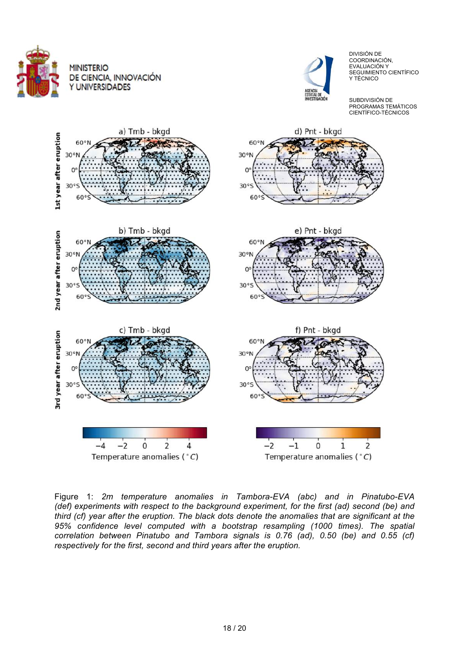



 DIVISIÓN DE COORDINACIÓN, EVALUACIÓN Y SEGUIMIENTO CIENTÍFICO Y TÉCNICO

SUBDIVISIÓN DE PROGRAMAS TEMÁTICOS CIENTÍFICO-TÉCNICOS



Figure 1: *2m temperature anomalies in Tambora-EVA (abc) and in Pinatubo-EVA (def) experiments with respect to the background experiment, for the first (ad) second (be) and third (cf) year after the eruption. The black dots denote the anomalies that are significant at the 95% confidence level computed with a bootstrap resampling (1000 times). The spatial correlation between Pinatubo and Tambora signals is 0.76 (ad), 0.50 (be) and 0.55 (cf) respectively for the first, second and third years after the eruption.*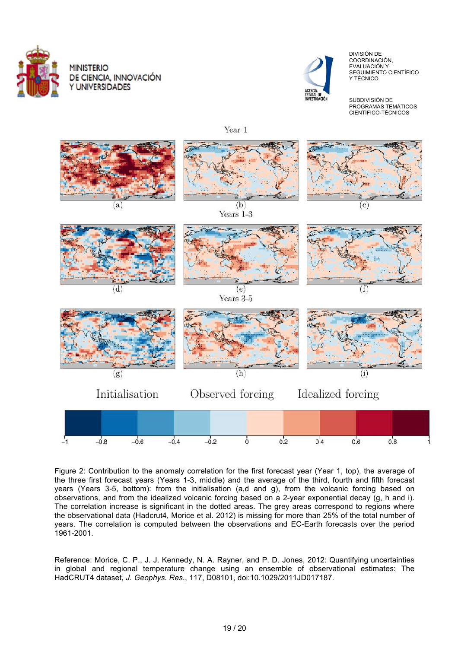



 DIVISIÓN DE COORDINACIÓN, EVALUACIÓN Y SEGUIMIENTO CIENTÍFICO Y TÉCNICO

SUBDIVISIÓN DE PROGRAMAS TEMÁTICOS CIENTÍFICO-TÉCNICOS

Year 1



Figure 2: Contribution to the anomaly correlation for the first forecast year (Year 1, top), the average of the three first forecast years (Years 1-3, middle) and the average of the third, fourth and fifth forecast years (Years 3-5, bottom): from the initialisation (a,d and g), from the volcanic forcing based on observations, and from the idealized volcanic forcing based on a 2-year exponential decay (g, h and i). The correlation increase is significant in the dotted areas. The grey areas correspond to regions where the observational data (Hadcrut4, Morice et al. 2012) is missing for more than 25% of the total number of years. The correlation is computed between the observations and EC-Earth forecasts over the period 1961-2001.

Reference: Morice, C. P., J. J. Kennedy, N. A. Rayner, and P. D. Jones, 2012: Quantifying uncertainties in global and regional temperature change using an ensemble of observational estimates: The HadCRUT4 dataset, *J. Geophys. Res.*, 117, D08101, doi:10.1029/2011JD017187.